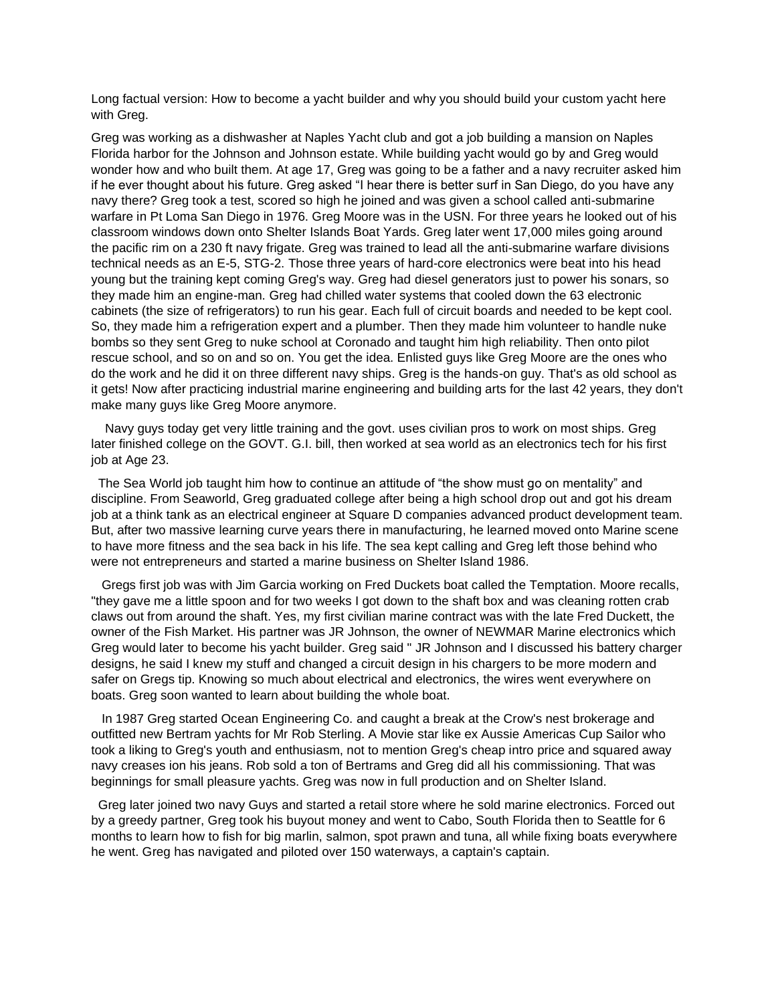Long factual version: How to become a yacht builder and why you should build your custom yacht here with Grea.

Greg was working as a dishwasher at Naples Yacht club and got a job building a mansion on Naples Florida harbor for the Johnson and Johnson estate. While building yacht would go by and Greg would wonder how and who built them. At age 17, Greg was going to be a father and a navy recruiter asked him if he ever thought about his future. Greg asked "I hear there is better surf in San Diego, do you have any navy there? Greg took a test, scored so high he joined and was given a school called anti-submarine warfare in Pt Loma San Diego in 1976. Greg Moore was in the USN. For three years he looked out of his classroom windows down onto Shelter Islands Boat Yards. Greg later went 17,000 miles going around the pacific rim on a 230 ft navy frigate. Greg was trained to lead all the anti-submarine warfare divisions technical needs as an E-5, STG-2. Those three years of hard-core electronics were beat into his head young but the training kept coming Greg's way. Greg had diesel generators just to power his sonars, so they made him an engine-man. Greg had chilled water systems that cooled down the 63 electronic cabinets (the size of refrigerators) to run his gear. Each full of circuit boards and needed to be kept cool. So, they made him a refrigeration expert and a plumber. Then they made him volunteer to handle nuke bombs so they sent Greg to nuke school at Coronado and taught him high reliability. Then onto pilot rescue school, and so on and so on. You get the idea. Enlisted guys like Greg Moore are the ones who do the work and he did it on three different navy ships. Greg is the hands-on guy. That's as old school as it gets! Now after practicing industrial marine engineering and building arts for the last 42 years, they don't make many guys like Greg Moore anymore.

 Navy guys today get very little training and the govt. uses civilian pros to work on most ships. Greg later finished college on the GOVT. G.I. bill, then worked at sea world as an electronics tech for his first job at Age 23.

 The Sea World job taught him how to continue an attitude of "the show must go on mentality" and discipline. From Seaworld, Greg graduated college after being a high school drop out and got his dream job at a think tank as an electrical engineer at Square D companies advanced product development team. But, after two massive learning curve years there in manufacturing, he learned moved onto Marine scene to have more fitness and the sea back in his life. The sea kept calling and Greg left those behind who were not entrepreneurs and started a marine business on Shelter Island 1986.

 Gregs first job was with Jim Garcia working on Fred Duckets boat called the Temptation. Moore recalls, "they gave me a little spoon and for two weeks I got down to the shaft box and was cleaning rotten crab claws out from around the shaft. Yes, my first civilian marine contract was with the late Fred Duckett, the owner of the Fish Market. His partner was JR Johnson, the owner of NEWMAR Marine electronics which Greg would later to become his yacht builder. Greg said " JR Johnson and I discussed his battery charger designs, he said I knew my stuff and changed a circuit design in his chargers to be more modern and safer on Gregs tip. Knowing so much about electrical and electronics, the wires went everywhere on boats. Greg soon wanted to learn about building the whole boat.

 In 1987 Greg started Ocean Engineering Co. and caught a break at the Crow's nest brokerage and outfitted new Bertram yachts for Mr Rob Sterling. A Movie star like ex Aussie Americas Cup Sailor who took a liking to Greg's youth and enthusiasm, not to mention Greg's cheap intro price and squared away navy creases ion his jeans. Rob sold a ton of Bertrams and Greg did all his commissioning. That was beginnings for small pleasure yachts. Greg was now in full production and on Shelter Island.

 Greg later joined two navy Guys and started a retail store where he sold marine electronics. Forced out by a greedy partner, Greg took his buyout money and went to Cabo, South Florida then to Seattle for 6 months to learn how to fish for big marlin, salmon, spot prawn and tuna, all while fixing boats everywhere he went. Greg has navigated and piloted over 150 waterways, a captain's captain.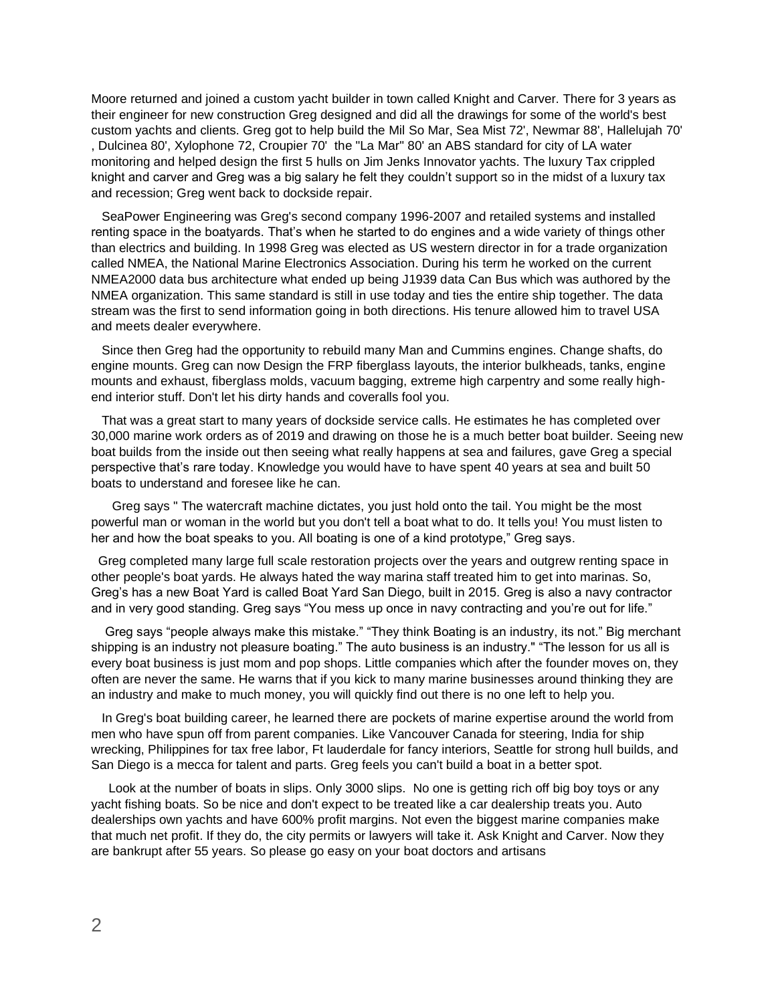Moore returned and joined a custom yacht builder in town called Knight and Carver. There for 3 years as their engineer for new construction Greg designed and did all the drawings for some of the world's best custom yachts and clients. Greg got to help build the Mil So Mar, Sea Mist 72', Newmar 88', Hallelujah 70' , Dulcinea 80', Xylophone 72, Croupier 70' the "La Mar" 80' an ABS standard for city of LA water monitoring and helped design the first 5 hulls on Jim Jenks Innovator yachts. The luxury Tax crippled knight and carver and Greg was a big salary he felt they couldn't support so in the midst of a luxury tax and recession; Greg went back to dockside repair.

 SeaPower Engineering was Greg's second company 1996-2007 and retailed systems and installed renting space in the boatyards. That's when he started to do engines and a wide variety of things other than electrics and building. In 1998 Greg was elected as US western director in for a trade organization called NMEA, the National Marine Electronics Association. During his term he worked on the current NMEA2000 data bus architecture what ended up being J1939 data Can Bus which was authored by the NMEA organization. This same standard is still in use today and ties the entire ship together. The data stream was the first to send information going in both directions. His tenure allowed him to travel USA and meets dealer everywhere.

 Since then Greg had the opportunity to rebuild many Man and Cummins engines. Change shafts, do engine mounts. Greg can now Design the FRP fiberglass layouts, the interior bulkheads, tanks, engine mounts and exhaust, fiberglass molds, vacuum bagging, extreme high carpentry and some really highend interior stuff. Don't let his dirty hands and coveralls fool you.

 That was a great start to many years of dockside service calls. He estimates he has completed over 30,000 marine work orders as of 2019 and drawing on those he is a much better boat builder. Seeing new boat builds from the inside out then seeing what really happens at sea and failures, gave Greg a special perspective that's rare today. Knowledge you would have to have spent 40 years at sea and built 50 boats to understand and foresee like he can.

 Greg says " The watercraft machine dictates, you just hold onto the tail. You might be the most powerful man or woman in the world but you don't tell a boat what to do. It tells you! You must listen to her and how the boat speaks to you. All boating is one of a kind prototype," Greg says.

 Greg completed many large full scale restoration projects over the years and outgrew renting space in other people's boat yards. He always hated the way marina staff treated him to get into marinas. So, Greg's has a new Boat Yard is called Boat Yard San Diego, built in 2015. Greg is also a navy contractor and in very good standing. Greg says "You mess up once in navy contracting and you're out for life."

 Greg says "people always make this mistake." "They think Boating is an industry, its not." Big merchant shipping is an industry not pleasure boating." The auto business is an industry." "The lesson for us all is every boat business is just mom and pop shops. Little companies which after the founder moves on, they often are never the same. He warns that if you kick to many marine businesses around thinking they are an industry and make to much money, you will quickly find out there is no one left to help you.

 In Greg's boat building career, he learned there are pockets of marine expertise around the world from men who have spun off from parent companies. Like Vancouver Canada for steering, India for ship wrecking, Philippines for tax free labor, Ft lauderdale for fancy interiors, Seattle for strong hull builds, and San Diego is a mecca for talent and parts. Greg feels you can't build a boat in a better spot.

 Look at the number of boats in slips. Only 3000 slips. No one is getting rich off big boy toys or any yacht fishing boats. So be nice and don't expect to be treated like a car dealership treats you. Auto dealerships own yachts and have 600% profit margins. Not even the biggest marine companies make that much net profit. If they do, the city permits or lawyers will take it. Ask Knight and Carver. Now they are bankrupt after 55 years. So please go easy on your boat doctors and artisans